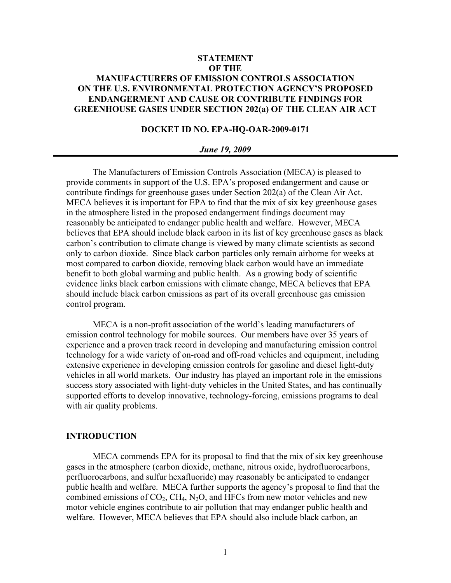# **STATEMENT OF THE MANUFACTURERS OF EMISSION CONTROLS ASSOCIATION ON THE U.S. ENVIRONMENTAL PROTECTION AGENCY'S PROPOSED ENDANGERMENT AND CAUSE OR CONTRIBUTE FINDINGS FOR GREENHOUSE GASES UNDER SECTION 202(a) OF THE CLEAN AIR ACT**

# **DOCKET ID NO. EPA-HQ-OAR-2009-0171**

#### *June 19, 2009*

The Manufacturers of Emission Controls Association (MECA) is pleased to provide comments in support of the U.S. EPA's proposed endangerment and cause or contribute findings for greenhouse gases under Section 202(a) of the Clean Air Act. MECA believes it is important for EPA to find that the mix of six key greenhouse gases in the atmosphere listed in the proposed endangerment findings document may reasonably be anticipated to endanger public health and welfare. However, MECA believes that EPA should include black carbon in its list of key greenhouse gases as black carbon's contribution to climate change is viewed by many climate scientists as second only to carbon dioxide. Since black carbon particles only remain airborne for weeks at most compared to carbon dioxide, removing black carbon would have an immediate benefit to both global warming and public health. As a growing body of scientific evidence links black carbon emissions with climate change, MECA believes that EPA should include black carbon emissions as part of its overall greenhouse gas emission control program.

MECA is a non-profit association of the world's leading manufacturers of emission control technology for mobile sources. Our members have over 35 years of experience and a proven track record in developing and manufacturing emission control technology for a wide variety of on-road and off-road vehicles and equipment, including extensive experience in developing emission controls for gasoline and diesel light-duty vehicles in all world markets. Our industry has played an important role in the emissions success story associated with light-duty vehicles in the United States, and has continually supported efforts to develop innovative, technology-forcing, emissions programs to deal with air quality problems.

#### **INTRODUCTION**

MECA commends EPA for its proposal to find that the mix of six key greenhouse gases in the atmosphere (carbon dioxide, methane, nitrous oxide, hydrofluorocarbons, perfluorocarbons, and sulfur hexafluoride) may reasonably be anticipated to endanger public health and welfare. MECA further supports the agency's proposal to find that the combined emissions of  $CO_2$ ,  $CH_4$ ,  $N_2O$ , and HFCs from new motor vehicles and new motor vehicle engines contribute to air pollution that may endanger public health and welfare. However, MECA believes that EPA should also include black carbon, an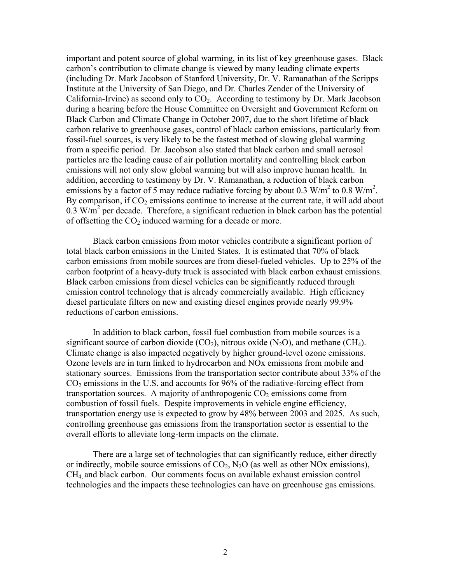important and potent source of global warming, in its list of key greenhouse gases. Black carbon's contribution to climate change is viewed by many leading climate experts (including Dr. Mark Jacobson of Stanford University, Dr. V. Ramanathan of the Scripps Institute at the University of San Diego, and Dr. Charles Zender of the University of California-Irvine) as second only to  $CO<sub>2</sub>$ . According to testimony by Dr. Mark Jacobson during a hearing before the House Committee on Oversight and Government Reform on Black Carbon and Climate Change in October 2007, due to the short lifetime of black carbon relative to greenhouse gases, control of black carbon emissions, particularly from fossil-fuel sources, is very likely to be the fastest method of slowing global warming from a specific period. Dr. Jacobson also stated that black carbon and small aerosol particles are the leading cause of air pollution mortality and controlling black carbon emissions will not only slow global warming but will also improve human health. In addition, according to testimony by Dr. V. Ramanathan, a reduction of black carbon emissions by a factor of 5 may reduce radiative forcing by about 0.3 W/m<sup>2</sup> to 0.8 W/m<sup>2</sup>. By comparison, if  $CO<sub>2</sub>$  emissions continue to increase at the current rate, it will add about  $0.3 \text{ W/m}^2$  per decade. Therefore, a significant reduction in black carbon has the potential of offsetting the  $CO<sub>2</sub>$  induced warming for a decade or more.

Black carbon emissions from motor vehicles contribute a significant portion of total black carbon emissions in the United States. It is estimated that 70% of black carbon emissions from mobile sources are from diesel-fueled vehicles. Up to 25% of the carbon footprint of a heavy-duty truck is associated with black carbon exhaust emissions. Black carbon emissions from diesel vehicles can be significantly reduced through emission control technology that is already commercially available. High efficiency diesel particulate filters on new and existing diesel engines provide nearly 99.9% reductions of carbon emissions.

In addition to black carbon, fossil fuel combustion from mobile sources is a significant source of carbon dioxide  $(CO<sub>2</sub>)$ , nitrous oxide  $(N<sub>2</sub>O)$ , and methane  $(CH<sub>4</sub>)$ . Climate change is also impacted negatively by higher ground-level ozone emissions. Ozone levels are in turn linked to hydrocarbon and NOx emissions from mobile and stationary sources. Emissions from the transportation sector contribute about 33% of the  $CO<sub>2</sub>$  emissions in the U.S. and accounts for 96% of the radiative-forcing effect from transportation sources. A majority of anthropogenic  $CO<sub>2</sub>$  emissions come from combustion of fossil fuels. Despite improvements in vehicle engine efficiency, transportation energy use is expected to grow by 48% between 2003 and 2025. As such, controlling greenhouse gas emissions from the transportation sector is essential to the overall efforts to alleviate long-term impacts on the climate.

There are a large set of technologies that can significantly reduce, either directly or indirectly, mobile source emissions of  $CO<sub>2</sub>$ , N<sub>2</sub>O (as well as other NOx emissions), CH4, and black carbon. Our comments focus on available exhaust emission control technologies and the impacts these technologies can have on greenhouse gas emissions.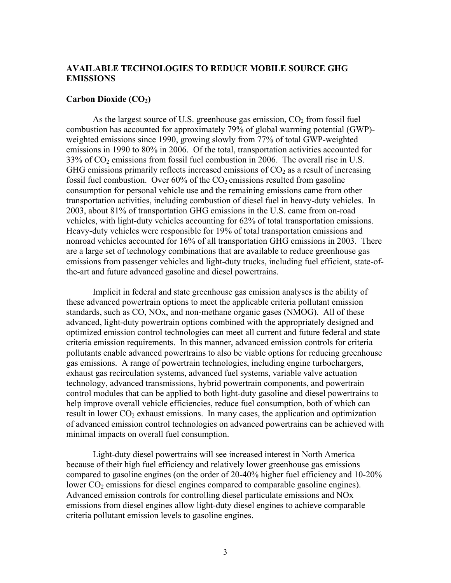# **AVAILABLE TECHNOLOGIES TO REDUCE MOBILE SOURCE GHG EMISSIONS**

### **Carbon Dioxide (CO2)**

As the largest source of U.S. greenhouse gas emission,  $CO<sub>2</sub>$  from fossil fuel combustion has accounted for approximately 79% of global warming potential (GWP) weighted emissions since 1990, growing slowly from 77% of total GWP-weighted emissions in 1990 to 80% in 2006. Of the total, transportation activities accounted for  $33\%$  of  $CO<sub>2</sub>$  emissions from fossil fuel combustion in 2006. The overall rise in U.S. GHG emissions primarily reflects increased emissions of  $CO<sub>2</sub>$  as a result of increasing fossil fuel combustion. Over 60% of the  $CO<sub>2</sub>$  emissions resulted from gasoline consumption for personal vehicle use and the remaining emissions came from other transportation activities, including combustion of diesel fuel in heavy-duty vehicles. In 2003, about 81% of transportation GHG emissions in the U.S. came from on-road vehicles, with light-duty vehicles accounting for 62% of total transportation emissions. Heavy-duty vehicles were responsible for 19% of total transportation emissions and nonroad vehicles accounted for 16% of all transportation GHG emissions in 2003. There are a large set of technology combinations that are available to reduce greenhouse gas emissions from passenger vehicles and light-duty trucks, including fuel efficient, state-ofthe-art and future advanced gasoline and diesel powertrains.

Implicit in federal and state greenhouse gas emission analyses is the ability of these advanced powertrain options to meet the applicable criteria pollutant emission standards, such as CO, NOx, and non-methane organic gases (NMOG). All of these advanced, light-duty powertrain options combined with the appropriately designed and optimized emission control technologies can meet all current and future federal and state criteria emission requirements. In this manner, advanced emission controls for criteria pollutants enable advanced powertrains to also be viable options for reducing greenhouse gas emissions. A range of powertrain technologies, including engine turbochargers, exhaust gas recirculation systems, advanced fuel systems, variable valve actuation technology, advanced transmissions, hybrid powertrain components, and powertrain control modules that can be applied to both light-duty gasoline and diesel powertrains to help improve overall vehicle efficiencies, reduce fuel consumption, both of which can result in lower  $CO<sub>2</sub>$  exhaust emissions. In many cases, the application and optimization of advanced emission control technologies on advanced powertrains can be achieved with minimal impacts on overall fuel consumption.

 Light-duty diesel powertrains will see increased interest in North America because of their high fuel efficiency and relatively lower greenhouse gas emissions compared to gasoline engines (on the order of 20-40% higher fuel efficiency and 10-20% lower  $CO<sub>2</sub>$  emissions for diesel engines compared to comparable gasoline engines). Advanced emission controls for controlling diesel particulate emissions and NOx emissions from diesel engines allow light-duty diesel engines to achieve comparable criteria pollutant emission levels to gasoline engines.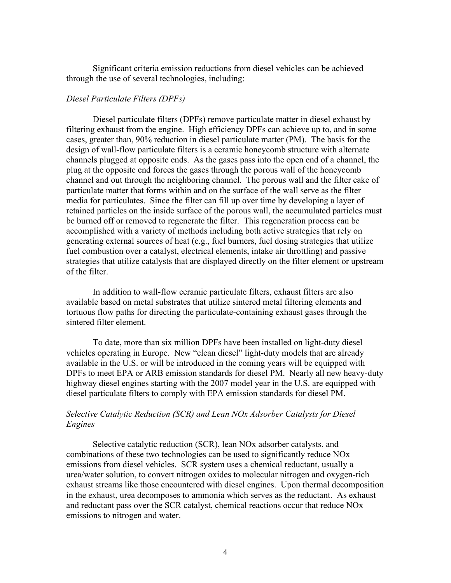Significant criteria emission reductions from diesel vehicles can be achieved through the use of several technologies, including:

## *Diesel Particulate Filters (DPFs)*

Diesel particulate filters (DPFs) remove particulate matter in diesel exhaust by filtering exhaust from the engine. High efficiency DPFs can achieve up to, and in some cases, greater than, 90% reduction in diesel particulate matter (PM). The basis for the design of wall-flow particulate filters is a ceramic honeycomb structure with alternate channels plugged at opposite ends. As the gases pass into the open end of a channel, the plug at the opposite end forces the gases through the porous wall of the honeycomb channel and out through the neighboring channel. The porous wall and the filter cake of particulate matter that forms within and on the surface of the wall serve as the filter media for particulates. Since the filter can fill up over time by developing a layer of retained particles on the inside surface of the porous wall, the accumulated particles must be burned off or removed to regenerate the filter. This regeneration process can be accomplished with a variety of methods including both active strategies that rely on generating external sources of heat (e.g., fuel burners, fuel dosing strategies that utilize fuel combustion over a catalyst, electrical elements, intake air throttling) and passive strategies that utilize catalysts that are displayed directly on the filter element or upstream of the filter.

In addition to wall-flow ceramic particulate filters, exhaust filters are also available based on metal substrates that utilize sintered metal filtering elements and tortuous flow paths for directing the particulate-containing exhaust gases through the sintered filter element.

To date, more than six million DPFs have been installed on light-duty diesel vehicles operating in Europe. New "clean diesel" light-duty models that are already available in the U.S. or will be introduced in the coming years will be equipped with DPFs to meet EPA or ARB emission standards for diesel PM. Nearly all new heavy-duty highway diesel engines starting with the 2007 model year in the U.S. are equipped with diesel particulate filters to comply with EPA emission standards for diesel PM.

# *Selective Catalytic Reduction (SCR) and Lean NOx Adsorber Catalysts for Diesel Engines*

Selective catalytic reduction (SCR), lean NOx adsorber catalysts, and combinations of these two technologies can be used to significantly reduce NOx emissions from diesel vehicles. SCR system uses a chemical reductant, usually a urea/water solution, to convert nitrogen oxides to molecular nitrogen and oxygen-rich exhaust streams like those encountered with diesel engines. Upon thermal decomposition in the exhaust, urea decomposes to ammonia which serves as the reductant. As exhaust and reductant pass over the SCR catalyst, chemical reactions occur that reduce NOx emissions to nitrogen and water.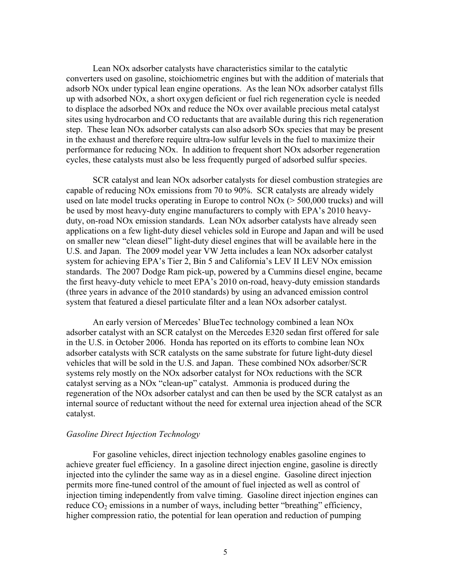Lean NOx adsorber catalysts have characteristics similar to the catalytic converters used on gasoline, stoichiometric engines but with the addition of materials that adsorb NOx under typical lean engine operations. As the lean NOx adsorber catalyst fills up with adsorbed NOx, a short oxygen deficient or fuel rich regeneration cycle is needed to displace the adsorbed NOx and reduce the NOx over available precious metal catalyst sites using hydrocarbon and CO reductants that are available during this rich regeneration step. These lean NOx adsorber catalysts can also adsorb SOx species that may be present in the exhaust and therefore require ultra-low sulfur levels in the fuel to maximize their performance for reducing NOx. In addition to frequent short NOx adsorber regeneration cycles, these catalysts must also be less frequently purged of adsorbed sulfur species.

SCR catalyst and lean NOx adsorber catalysts for diesel combustion strategies are capable of reducing NOx emissions from 70 to 90%. SCR catalysts are already widely used on late model trucks operating in Europe to control NOx (> 500,000 trucks) and will be used by most heavy-duty engine manufacturers to comply with EPA's 2010 heavyduty, on-road NOx emission standards. Lean NOx adsorber catalysts have already seen applications on a few light-duty diesel vehicles sold in Europe and Japan and will be used on smaller new "clean diesel" light-duty diesel engines that will be available here in the U.S. and Japan. The 2009 model year VW Jetta includes a lean NOx adsorber catalyst system for achieving EPA's Tier 2, Bin 5 and California's LEV II LEV NOx emission standards. The 2007 Dodge Ram pick-up, powered by a Cummins diesel engine, became the first heavy-duty vehicle to meet EPA's 2010 on-road, heavy-duty emission standards (three years in advance of the 2010 standards) by using an advanced emission control system that featured a diesel particulate filter and a lean NOx adsorber catalyst.

An early version of Mercedes' BlueTec technology combined a lean NOx adsorber catalyst with an SCR catalyst on the Mercedes E320 sedan first offered for sale in the U.S. in October 2006. Honda has reported on its efforts to combine lean NOx adsorber catalysts with SCR catalysts on the same substrate for future light-duty diesel vehicles that will be sold in the U.S. and Japan. These combined NOx adsorber/SCR systems rely mostly on the NOx adsorber catalyst for NOx reductions with the SCR catalyst serving as a NOx "clean-up" catalyst. Ammonia is produced during the regeneration of the NOx adsorber catalyst and can then be used by the SCR catalyst as an internal source of reductant without the need for external urea injection ahead of the SCR catalyst.

### *Gasoline Direct Injection Technology*

For gasoline vehicles, direct injection technology enables gasoline engines to achieve greater fuel efficiency. In a gasoline direct injection engine, gasoline is directly injected into the cylinder the same way as in a diesel engine. Gasoline direct injection permits more fine-tuned control of the amount of fuel injected as well as control of injection timing independently from valve timing. Gasoline direct injection engines can reduce  $CO<sub>2</sub>$  emissions in a number of ways, including better "breathing" efficiency, higher compression ratio, the potential for lean operation and reduction of pumping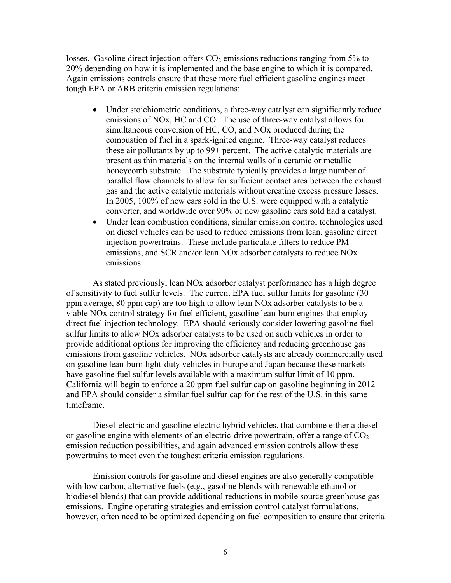losses. Gasoline direct injection offers  $CO<sub>2</sub>$  emissions reductions ranging from 5% to 20% depending on how it is implemented and the base engine to which it is compared. Again emissions controls ensure that these more fuel efficient gasoline engines meet tough EPA or ARB criteria emission regulations:

- Under stoichiometric conditions, a three-way catalyst can significantly reduce emissions of NOx, HC and CO. The use of three-way catalyst allows for simultaneous conversion of HC, CO, and NOx produced during the combustion of fuel in a spark-ignited engine. Three-way catalyst reduces these air pollutants by up to 99+ percent. The active catalytic materials are present as thin materials on the internal walls of a ceramic or metallic honeycomb substrate. The substrate typically provides a large number of parallel flow channels to allow for sufficient contact area between the exhaust gas and the active catalytic materials without creating excess pressure losses. In 2005, 100% of new cars sold in the U.S. were equipped with a catalytic converter, and worldwide over 90% of new gasoline cars sold had a catalyst.
- Under lean combustion conditions, similar emission control technologies used on diesel vehicles can be used to reduce emissions from lean, gasoline direct injection powertrains. These include particulate filters to reduce PM emissions, and SCR and/or lean NOx adsorber catalysts to reduce NOx emissions.

 As stated previously, lean NOx adsorber catalyst performance has a high degree of sensitivity to fuel sulfur levels. The current EPA fuel sulfur limits for gasoline (30 ppm average, 80 ppm cap) are too high to allow lean NOx adsorber catalysts to be a viable NOx control strategy for fuel efficient, gasoline lean-burn engines that employ direct fuel injection technology. EPA should seriously consider lowering gasoline fuel sulfur limits to allow NOx adsorber catalysts to be used on such vehicles in order to provide additional options for improving the efficiency and reducing greenhouse gas emissions from gasoline vehicles. NOx adsorber catalysts are already commercially used on gasoline lean-burn light-duty vehicles in Europe and Japan because these markets have gasoline fuel sulfur levels available with a maximum sulfur limit of 10 ppm. California will begin to enforce a 20 ppm fuel sulfur cap on gasoline beginning in 2012 and EPA should consider a similar fuel sulfur cap for the rest of the U.S. in this same timeframe.

Diesel-electric and gasoline-electric hybrid vehicles, that combine either a diesel or gasoline engine with elements of an electric-drive powertrain, offer a range of  $CO<sub>2</sub>$ emission reduction possibilities, and again advanced emission controls allow these powertrains to meet even the toughest criteria emission regulations.

Emission controls for gasoline and diesel engines are also generally compatible with low carbon, alternative fuels (e.g., gasoline blends with renewable ethanol or biodiesel blends) that can provide additional reductions in mobile source greenhouse gas emissions. Engine operating strategies and emission control catalyst formulations, however, often need to be optimized depending on fuel composition to ensure that criteria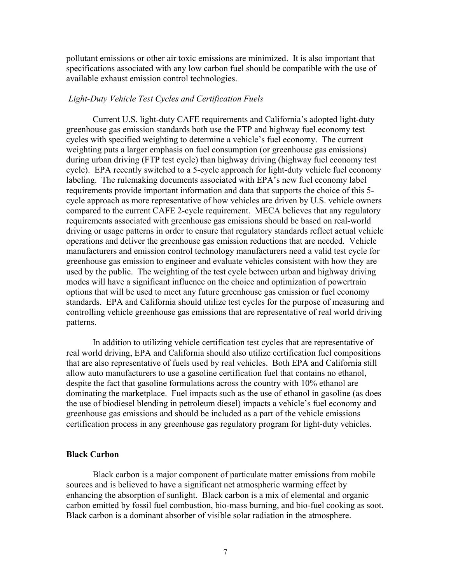pollutant emissions or other air toxic emissions are minimized. It is also important that specifications associated with any low carbon fuel should be compatible with the use of available exhaust emission control technologies.

### *Light-Duty Vehicle Test Cycles and Certification Fuels*

 Current U.S. light-duty CAFE requirements and California's adopted light-duty greenhouse gas emission standards both use the FTP and highway fuel economy test cycles with specified weighting to determine a vehicle's fuel economy. The current weighting puts a larger emphasis on fuel consumption (or greenhouse gas emissions) during urban driving (FTP test cycle) than highway driving (highway fuel economy test cycle). EPA recently switched to a 5-cycle approach for light-duty vehicle fuel economy labeling. The rulemaking documents associated with EPA's new fuel economy label requirements provide important information and data that supports the choice of this 5 cycle approach as more representative of how vehicles are driven by U.S. vehicle owners compared to the current CAFE 2-cycle requirement. MECA believes that any regulatory requirements associated with greenhouse gas emissions should be based on real-world driving or usage patterns in order to ensure that regulatory standards reflect actual vehicle operations and deliver the greenhouse gas emission reductions that are needed. Vehicle manufacturers and emission control technology manufacturers need a valid test cycle for greenhouse gas emission to engineer and evaluate vehicles consistent with how they are used by the public. The weighting of the test cycle between urban and highway driving modes will have a significant influence on the choice and optimization of powertrain options that will be used to meet any future greenhouse gas emission or fuel economy standards. EPA and California should utilize test cycles for the purpose of measuring and controlling vehicle greenhouse gas emissions that are representative of real world driving patterns.

 In addition to utilizing vehicle certification test cycles that are representative of real world driving, EPA and California should also utilize certification fuel compositions that are also representative of fuels used by real vehicles. Both EPA and California still allow auto manufacturers to use a gasoline certification fuel that contains no ethanol, despite the fact that gasoline formulations across the country with 10% ethanol are dominating the marketplace. Fuel impacts such as the use of ethanol in gasoline (as does the use of biodiesel blending in petroleum diesel) impacts a vehicle's fuel economy and greenhouse gas emissions and should be included as a part of the vehicle emissions certification process in any greenhouse gas regulatory program for light-duty vehicles.

# **Black Carbon**

Black carbon is a major component of particulate matter emissions from mobile sources and is believed to have a significant net atmospheric warming effect by enhancing the absorption of sunlight. Black carbon is a mix of elemental and organic carbon emitted by fossil fuel combustion, bio-mass burning, and bio-fuel cooking as soot. Black carbon is a dominant absorber of visible solar radiation in the atmosphere.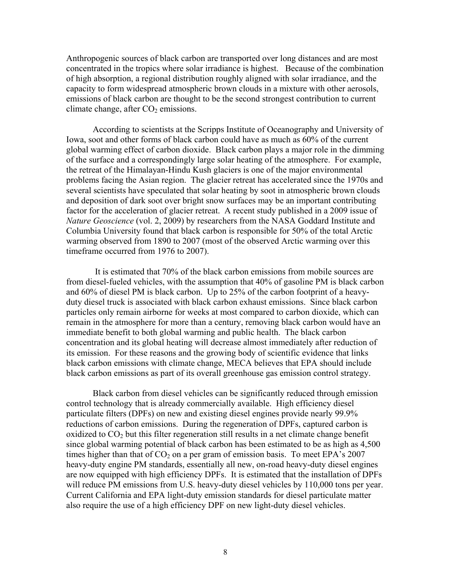Anthropogenic sources of black carbon are transported over long distances and are most concentrated in the tropics where solar irradiance is highest. Because of the combination of high absorption, a regional distribution roughly aligned with solar irradiance, and the capacity to form widespread atmospheric brown clouds in a mixture with other aerosols, emissions of black carbon are thought to be the second strongest contribution to current climate change, after  $CO<sub>2</sub>$  emissions.

According to scientists at the Scripps Institute of Oceanography and University of Iowa, soot and other forms of black carbon could have as much as 60% of the current global warming effect of carbon dioxide. Black carbon plays a major role in the dimming of the surface and a correspondingly large solar heating of the atmosphere. For example, the retreat of the Himalayan-Hindu Kush glaciers is one of the major environmental problems facing the Asian region. The glacier retreat has accelerated since the 1970s and several scientists have speculated that solar heating by soot in atmospheric brown clouds and deposition of dark soot over bright snow surfaces may be an important contributing factor for the acceleration of glacier retreat. A recent study published in a 2009 issue of *Nature Geoscience* (vol. 2, 2009) by researchers from the NASA Goddard Institute and Columbia University found that black carbon is responsible for 50% of the total Arctic warming observed from 1890 to 2007 (most of the observed Arctic warming over this timeframe occurred from 1976 to 2007).

 It is estimated that 70% of the black carbon emissions from mobile sources are from diesel-fueled vehicles, with the assumption that 40% of gasoline PM is black carbon and 60% of diesel PM is black carbon. Up to 25% of the carbon footprint of a heavyduty diesel truck is associated with black carbon exhaust emissions. Since black carbon particles only remain airborne for weeks at most compared to carbon dioxide, which can remain in the atmosphere for more than a century, removing black carbon would have an immediate benefit to both global warming and public health. The black carbon concentration and its global heating will decrease almost immediately after reduction of its emission. For these reasons and the growing body of scientific evidence that links black carbon emissions with climate change, MECA believes that EPA should include black carbon emissions as part of its overall greenhouse gas emission control strategy.

 Black carbon from diesel vehicles can be significantly reduced through emission control technology that is already commercially available. High efficiency diesel particulate filters (DPFs) on new and existing diesel engines provide nearly 99.9% reductions of carbon emissions. During the regeneration of DPFs, captured carbon is oxidized to  $CO<sub>2</sub>$  but this filter regeneration still results in a net climate change benefit since global warming potential of black carbon has been estimated to be as high as 4,500 times higher than that of  $CO<sub>2</sub>$  on a per gram of emission basis. To meet EPA's 2007 heavy-duty engine PM standards, essentially all new, on-road heavy-duty diesel engines are now equipped with high efficiency DPFs. It is estimated that the installation of DPFs will reduce PM emissions from U.S. heavy-duty diesel vehicles by 110,000 tons per year. Current California and EPA light-duty emission standards for diesel particulate matter also require the use of a high efficiency DPF on new light-duty diesel vehicles.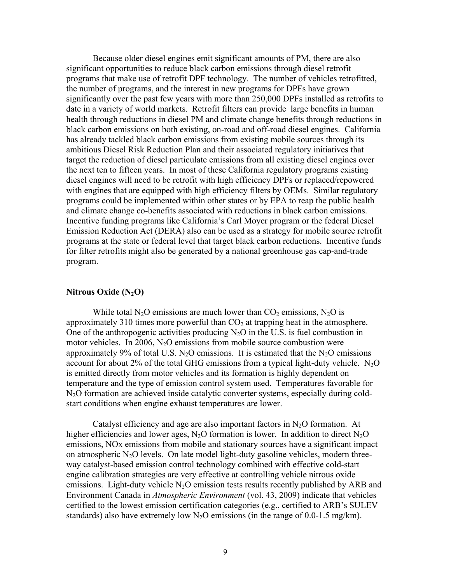Because older diesel engines emit significant amounts of PM, there are also significant opportunities to reduce black carbon emissions through diesel retrofit programs that make use of retrofit DPF technology. The number of vehicles retrofitted, the number of programs, and the interest in new programs for DPFs have grown significantly over the past few years with more than 250,000 DPFs installed as retrofits to date in a variety of world markets. Retrofit filters can provide large benefits in human health through reductions in diesel PM and climate change benefits through reductions in black carbon emissions on both existing, on-road and off-road diesel engines. California has already tackled black carbon emissions from existing mobile sources through its ambitious Diesel Risk Reduction Plan and their associated regulatory initiatives that target the reduction of diesel particulate emissions from all existing diesel engines over the next ten to fifteen years. In most of these California regulatory programs existing diesel engines will need to be retrofit with high efficiency DPFs or replaced/repowered with engines that are equipped with high efficiency filters by OEMs. Similar regulatory programs could be implemented within other states or by EPA to reap the public health and climate change co-benefits associated with reductions in black carbon emissions. Incentive funding programs like California's Carl Moyer program or the federal Diesel Emission Reduction Act (DERA) also can be used as a strategy for mobile source retrofit programs at the state or federal level that target black carbon reductions. Incentive funds for filter retrofits might also be generated by a national greenhouse gas cap-and-trade program.

# **Nitrous Oxide (N2O)**

While total N<sub>2</sub>O emissions are much lower than  $CO_2$  emissions, N<sub>2</sub>O is approximately 310 times more powerful than  $CO<sub>2</sub>$  at trapping heat in the atmosphere. One of the anthropogenic activities producing  $N<sub>2</sub>O$  in the U.S. is fuel combustion in motor vehicles. In 2006,  $N<sub>2</sub>O$  emissions from mobile source combustion were approximately 9% of total U.S.  $N_2O$  emissions. It is estimated that the  $N_2O$  emissions account for about 2% of the total GHG emissions from a typical light-duty vehicle.  $N_2O$ is emitted directly from motor vehicles and its formation is highly dependent on temperature and the type of emission control system used. Temperatures favorable for N2O formation are achieved inside catalytic converter systems, especially during coldstart conditions when engine exhaust temperatures are lower.

Catalyst efficiency and age are also important factors in  $N_2O$  formation. At higher efficiencies and lower ages,  $N_2O$  formation is lower. In addition to direct  $N_2O$ emissions, NOx emissions from mobile and stationary sources have a significant impact on atmospheric  $N_2O$  levels. On late model light-duty gasoline vehicles, modern threeway catalyst-based emission control technology combined with effective cold-start engine calibration strategies are very effective at controlling vehicle nitrous oxide emissions. Light-duty vehicle  $N_2O$  emission tests results recently published by ARB and Environment Canada in *Atmospheric Environment* (vol. 43, 2009) indicate that vehicles certified to the lowest emission certification categories (e.g., certified to ARB's SULEV standards) also have extremely low  $N_2O$  emissions (in the range of 0.0-1.5 mg/km).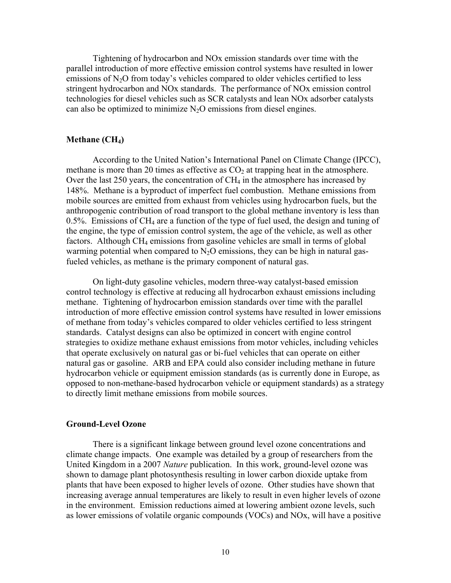Tightening of hydrocarbon and NOx emission standards over time with the parallel introduction of more effective emission control systems have resulted in lower emissions of  $N_2O$  from today's vehicles compared to older vehicles certified to less stringent hydrocarbon and NOx standards. The performance of NOx emission control technologies for diesel vehicles such as SCR catalysts and lean NOx adsorber catalysts can also be optimized to minimize  $N_2O$  emissions from diesel engines.

## **Methane (CH<sub>4</sub>)**

According to the United Nation's International Panel on Climate Change (IPCC), methane is more than 20 times as effective as  $CO<sub>2</sub>$  at trapping heat in the atmosphere. Over the last 250 years, the concentration of  $CH_4$  in the atmosphere has increased by 148%. Methane is a byproduct of imperfect fuel combustion. Methane emissions from mobile sources are emitted from exhaust from vehicles using hydrocarbon fuels, but the anthropogenic contribution of road transport to the global methane inventory is less than 0.5%. Emissions of CH4 are a function of the type of fuel used, the design and tuning of the engine, the type of emission control system, the age of the vehicle, as well as other factors. Although CH4 emissions from gasoline vehicles are small in terms of global warming potential when compared to  $N_2O$  emissions, they can be high in natural gasfueled vehicles, as methane is the primary component of natural gas.

On light-duty gasoline vehicles, modern three-way catalyst-based emission control technology is effective at reducing all hydrocarbon exhaust emissions including methane. Tightening of hydrocarbon emission standards over time with the parallel introduction of more effective emission control systems have resulted in lower emissions of methane from today's vehicles compared to older vehicles certified to less stringent standards. Catalyst designs can also be optimized in concert with engine control strategies to oxidize methane exhaust emissions from motor vehicles, including vehicles that operate exclusively on natural gas or bi-fuel vehicles that can operate on either natural gas or gasoline. ARB and EPA could also consider including methane in future hydrocarbon vehicle or equipment emission standards (as is currently done in Europe, as opposed to non-methane-based hydrocarbon vehicle or equipment standards) as a strategy to directly limit methane emissions from mobile sources.

#### **Ground-Level Ozone**

 There is a significant linkage between ground level ozone concentrations and climate change impacts. One example was detailed by a group of researchers from the United Kingdom in a 2007 *Nature* publication. In this work, ground-level ozone was shown to damage plant photosynthesis resulting in lower carbon dioxide uptake from plants that have been exposed to higher levels of ozone. Other studies have shown that increasing average annual temperatures are likely to result in even higher levels of ozone in the environment. Emission reductions aimed at lowering ambient ozone levels, such as lower emissions of volatile organic compounds (VOCs) and NOx, will have a positive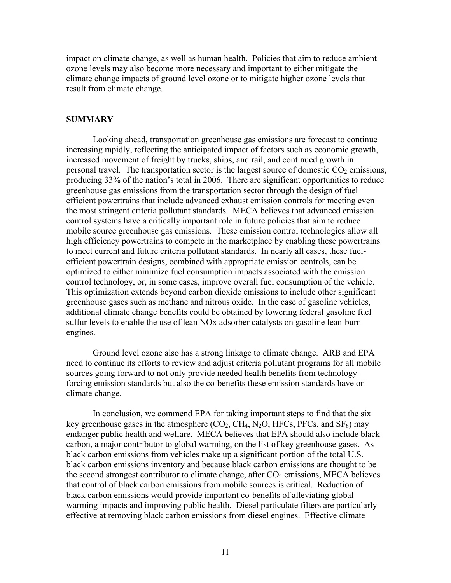impact on climate change, as well as human health. Policies that aim to reduce ambient ozone levels may also become more necessary and important to either mitigate the climate change impacts of ground level ozone or to mitigate higher ozone levels that result from climate change.

### **SUMMARY**

Looking ahead, transportation greenhouse gas emissions are forecast to continue increasing rapidly, reflecting the anticipated impact of factors such as economic growth, increased movement of freight by trucks, ships, and rail, and continued growth in personal travel. The transportation sector is the largest source of domestic  $CO<sub>2</sub>$  emissions, producing 33% of the nation's total in 2006. There are significant opportunities to reduce greenhouse gas emissions from the transportation sector through the design of fuel efficient powertrains that include advanced exhaust emission controls for meeting even the most stringent criteria pollutant standards. MECA believes that advanced emission control systems have a critically important role in future policies that aim to reduce mobile source greenhouse gas emissions. These emission control technologies allow all high efficiency powertrains to compete in the marketplace by enabling these powertrains to meet current and future criteria pollutant standards. In nearly all cases, these fuelefficient powertrain designs, combined with appropriate emission controls, can be optimized to either minimize fuel consumption impacts associated with the emission control technology, or, in some cases, improve overall fuel consumption of the vehicle. This optimization extends beyond carbon dioxide emissions to include other significant greenhouse gases such as methane and nitrous oxide. In the case of gasoline vehicles, additional climate change benefits could be obtained by lowering federal gasoline fuel sulfur levels to enable the use of lean NOx adsorber catalysts on gasoline lean-burn engines.

 Ground level ozone also has a strong linkage to climate change. ARB and EPA need to continue its efforts to review and adjust criteria pollutant programs for all mobile sources going forward to not only provide needed health benefits from technologyforcing emission standards but also the co-benefits these emission standards have on climate change.

In conclusion, we commend EPA for taking important steps to find that the six key greenhouse gases in the atmosphere  $(CO_2, CH_4, N_2O, HFCs, PFCs, and SF_6)$  may endanger public health and welfare. MECA believes that EPA should also include black carbon, a major contributor to global warming, on the list of key greenhouse gases. As black carbon emissions from vehicles make up a significant portion of the total U.S. black carbon emissions inventory and because black carbon emissions are thought to be the second strongest contributor to climate change, after  $CO<sub>2</sub>$  emissions, MECA believes that control of black carbon emissions from mobile sources is critical. Reduction of black carbon emissions would provide important co-benefits of alleviating global warming impacts and improving public health. Diesel particulate filters are particularly effective at removing black carbon emissions from diesel engines. Effective climate